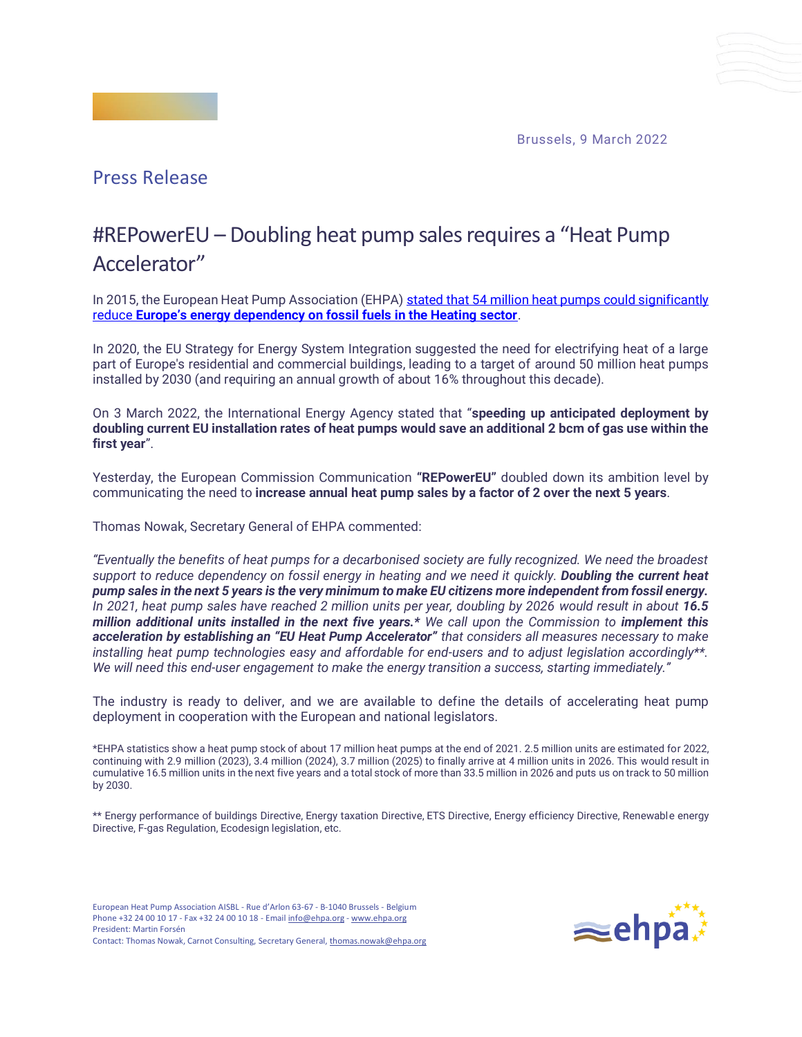Brussels, 9 March 2022



## #REPowerEU – Doubling heat pump sales requires a "Heat Pump Accelerator"

In 2015, the European Heat Pump Association (EHPA) stated that 54 million heat pumps could significantly reduce **Europe'[s energy dependency on fossil fuels in the Heating sector](https://www.ehpa.org/fileadmin/red/08._Policy/08.04_2015/20150120_EHPA_Position_Energy_Security_Strategy.pdf)**.

In 2020, the EU Strategy for Energy System Integration suggested the need for electrifying heat of a large part of Europe's residential and commercial buildings, leading to a target of around 50 million heat pumps installed by 2030 (and requiring an annual growth of about 16% throughout this decade).

On 3 March 2022, the International Energy Agency stated that "**speeding up anticipated deployment by doubling current EU installation rates of heat pumps would save an additional 2 bcm of gas use within the first year**".

Yesterday, the European Commission Communication **"REPowerEU"** doubled down its ambition level by communicating the need to **increase annual heat pump sales by a factor of 2 over the next 5 years**.

Thomas Nowak, Secretary General of EHPA commented:

*"Eventually the benefits of heat pumps for a decarbonised society are fully recognized. We need the broadest support to reduce dependency on fossil energy in heating and we need it quickly. Doubling the current heat pump sales in the next 5 years is the very minimum to make EU citizens more independent from fossil energy. In 2021, heat pump sales have reached 2 million units per year, doubling by 2026 would result in about 16.5 million additional units installed in the next five years.\* We call upon the Commission to implement this acceleration by establishing an "EU Heat Pump Accelerator" that considers all measures necessary to make installing heat pump technologies easy and affordable for end-users and to adjust legislation accordingly\*\*. We will need this end-user engagement to make the energy transition a success, starting immediately."*

The industry is ready to deliver, and we are available to define the details of accelerating heat pump deployment in cooperation with the European and national legislators.

\*EHPA statistics show a heat pump stock of about 17 million heat pumps at the end of 2021. 2.5 million units are estimated for 2022, continuing with 2.9 million (2023), 3.4 million (2024), 3.7 million (2025) to finally arrive at 4 million units in 2026. This would result in cumulative 16.5 million units in the next five years and a total stock of more than 33.5 million in 2026 and puts us on track to 50 million by 2030.

\*\* Energy performance of buildings Directive, Energy taxation Directive, ETS Directive, Energy efficiency Directive, Renewable energy Directive, F-gas Regulation, Ecodesign legislation, etc.